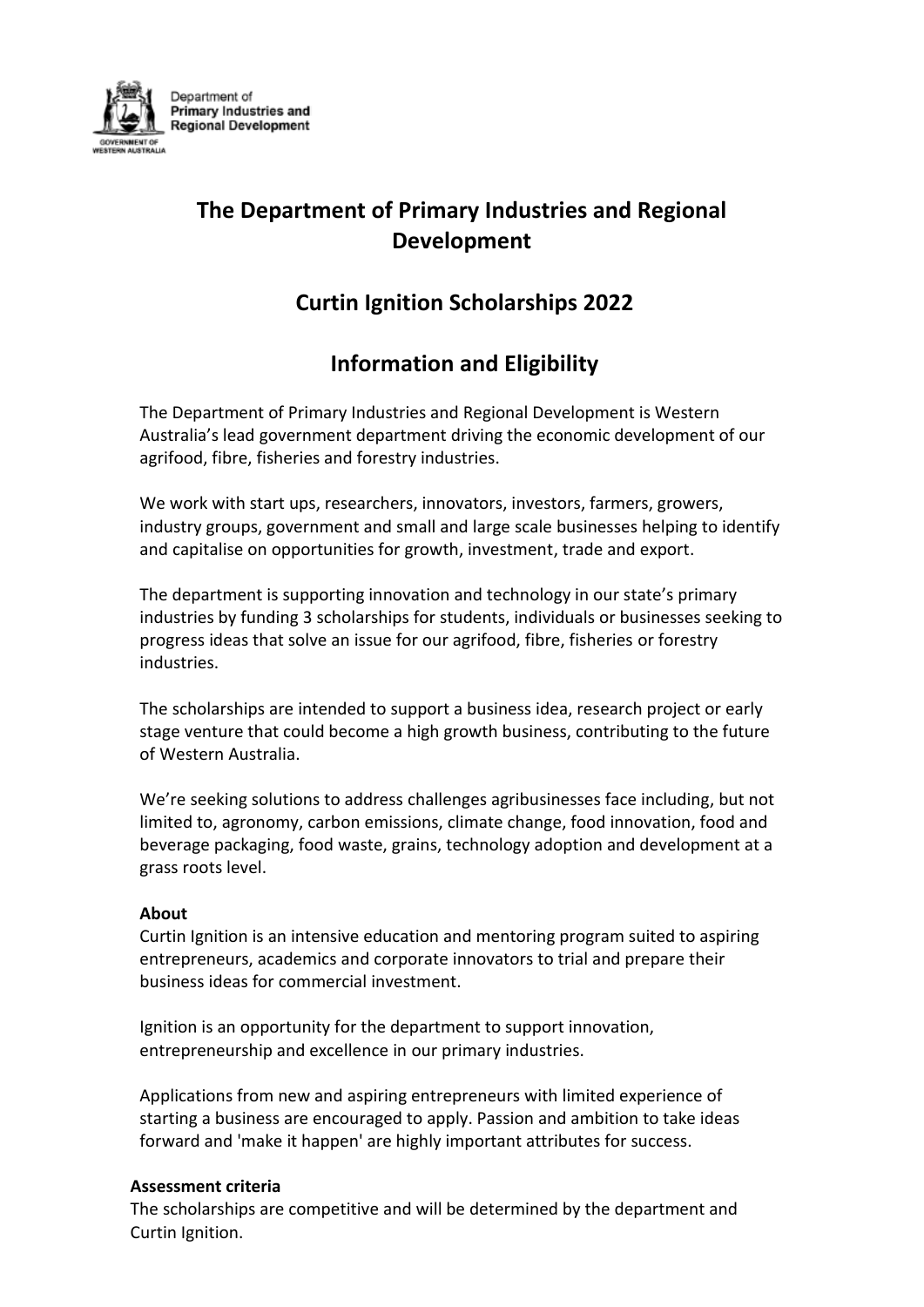

# **The Department of Primary Industries and Regional Development**

## **Curtin Ignition Scholarships 2022**

## **Information and Eligibility**

The Department of Primary Industries and Regional Development is Western Australia's lead government department driving the economic development of our agrifood, fibre, fisheries and forestry industries.

We work with start ups, researchers, innovators, investors, farmers, growers, industry groups, government and small and large scale businesses helping to identify and capitalise on opportunities for growth, investment, trade and export.

The department is supporting innovation and technology in our state's primary industries by funding 3 scholarships for students, individuals or businesses seeking to progress ideas that solve an issue for our agrifood, fibre, fisheries or forestry industries.

The scholarships are intended to support a business idea, research project or early stage venture that could become a high growth business, contributing to the future of Western Australia.

We're seeking solutions to address challenges agribusinesses face including, but not limited to, agronomy, carbon emissions, climate change, food innovation, food and beverage packaging, food waste, grains, technology adoption and development at a grass roots level.

#### **About**

Curtin Ignition is an intensive education and mentoring program suited to aspiring entrepreneurs, academics and corporate innovators to trial and prepare their business ideas for commercial investment.

Ignition is an opportunity for the department to support innovation, entrepreneurship and excellence in our primary industries.

Applications from new and aspiring entrepreneurs with limited experience of starting a business are encouraged to apply. Passion and ambition to take ideas forward and 'make it happen' are highly important attributes for success.

#### **Assessment criteria**

The scholarships are competitive and will be determined by the department and Curtin Ignition.